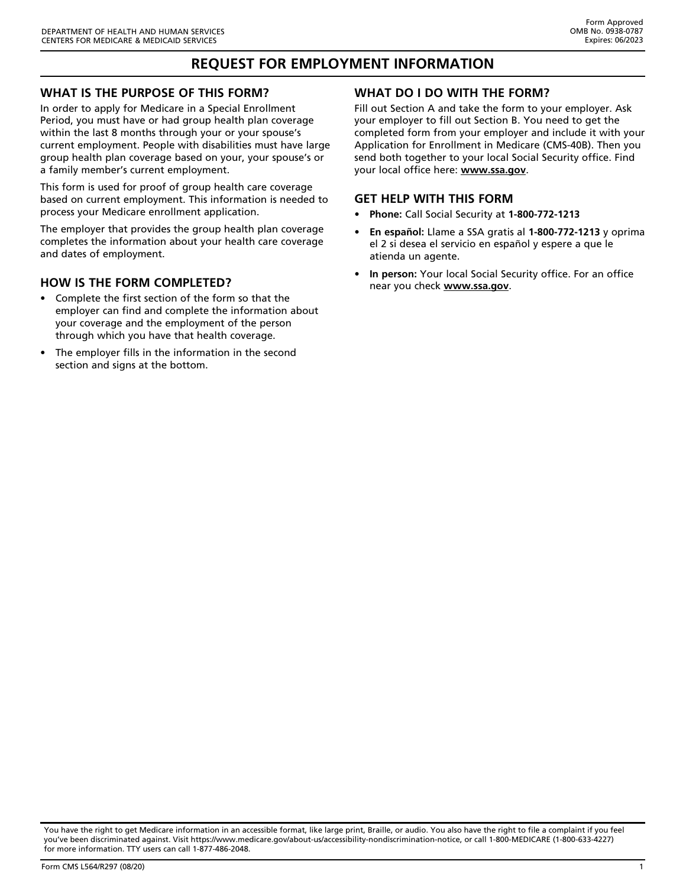# **REQUEST FOR EMPLOYMENT INFORMATION**

#### **WHAT IS THE PURPOSE OF THIS FORM?**

In order to apply for Medicare in a Special Enrollment Period, you must have or had group health plan coverage within the last 8 months through your or your spouse's current employment. People with disabilities must have large group health plan coverage based on your, your spouse's or a family member's current employment.

This form is used for proof of group health care coverage based on current employment. This information is needed to process your Medicare enrollment application.

The employer that provides the group health plan coverage completes the information about your health care coverage and dates of employment.

#### **HOW IS THE FORM COMPLETED?**

- Complete the first section of the form so that the employer can find and complete the information about your coverage and the employment of the person through which you have that health coverage.
- The employer fills in the information in the second section and signs at the bottom.

## **WHAT DO I DO WITH THE FORM?**

Fill out Section A and take the form to your employer. Ask your employer to fill out Section B. You need to get the completed form from your employer and include it with your Application for Enrollment in Medicare (CMS-40B). Then you send both together to your local Social Security office. Find your local office here: **www.ssa.gov**.

#### **GET HELP WITH THIS FORM**

- **Phone:** Call Social Security at **1-800-772-1213**
- **En español:** Llame a SSA gratis al **1-800-772-1213** y oprima el 2 si desea el servicio en español y espere a que le atienda un agente.
- **In person:** Your local Social Security office. For an office near you check **www.ssa.gov**.

You have the right to get Medicare information in an accessible format, like large print, Braille, or audio. You also have the right to file a complaint if you feel you've been discriminated against. Visit [https://www.medicare.gov/about-us/accessibility-nondiscrimination-notice,](https://www.medicare.gov/about-us/accessibility-nondiscrimination-notice) or call 1-800-MEDICARE (1-800-633-4227) for more information. TTY users can call 1-877-486-2048.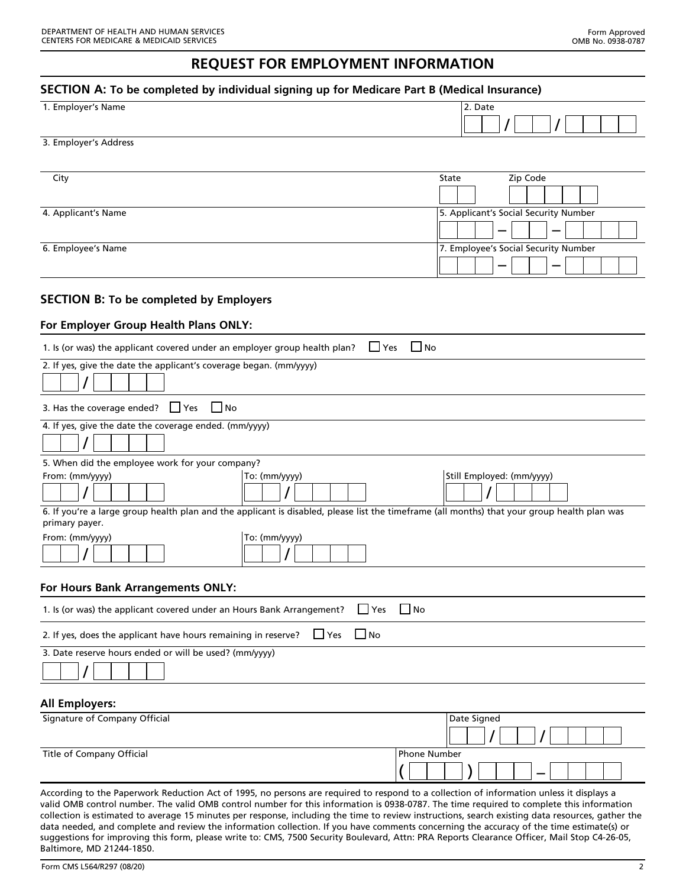## **REQUEST FOR EMPLOYMENT INFORMATION**

## **SECTION A: To be completed by individual signing up for Medicare Part B (Medical Insurance)**

| SECTION A. TO be completed by individual signing up for iviedicare Part B (iviedical insurance)<br>1. Employer's Name<br>2. Date                                                                                                                                                     |                                       |
|--------------------------------------------------------------------------------------------------------------------------------------------------------------------------------------------------------------------------------------------------------------------------------------|---------------------------------------|
|                                                                                                                                                                                                                                                                                      |                                       |
| 3. Employer's Address                                                                                                                                                                                                                                                                |                                       |
| City                                                                                                                                                                                                                                                                                 | Zip Code<br>State                     |
| 4. Applicant's Name                                                                                                                                                                                                                                                                  | 5. Applicant's Social Security Number |
| 6. Employee's Name                                                                                                                                                                                                                                                                   | 7. Employee's Social Security Number  |
| <b>SECTION B: To be completed by Employers</b>                                                                                                                                                                                                                                       |                                       |
| For Employer Group Health Plans ONLY:                                                                                                                                                                                                                                                |                                       |
| $\Box$ Yes<br>$\Box$ No<br>1. Is (or was) the applicant covered under an employer group health plan?                                                                                                                                                                                 |                                       |
| 2. If yes, give the date the applicant's coverage began. (mm/yyyy)                                                                                                                                                                                                                   |                                       |
| 3. Has the coverage ended? $\Box$ Yes<br>$\Box$ No                                                                                                                                                                                                                                   |                                       |
| 4. If yes, give the date the coverage ended. (mm/yyyy)                                                                                                                                                                                                                               |                                       |
| 5. When did the employee work for your company?<br>From: (mm/yyyy)<br>To: (mm/yyyy)                                                                                                                                                                                                  | Still Employed: (mm/yyyy)             |
| 6. If you're a large group health plan and the applicant is disabled, please list the timeframe (all months) that your group health plan was<br>primary payer.                                                                                                                       |                                       |
| From: (mm/yyyy)<br>To: (mm/yyyy)                                                                                                                                                                                                                                                     |                                       |
| <b>For Hours Bank Arrangements ONLY:</b>                                                                                                                                                                                                                                             |                                       |
| $\Box$ No<br>$\Box$ Yes<br>1. Is (or was) the applicant covered under an Hours Bank Arrangement?                                                                                                                                                                                     |                                       |
| $\Box$ No<br>$\Box$ Yes<br>2. If yes, does the applicant have hours remaining in reserve?                                                                                                                                                                                            |                                       |
| 3. Date reserve hours ended or will be used? (mm/yyyy)                                                                                                                                                                                                                               |                                       |
| <b>All Employers:</b>                                                                                                                                                                                                                                                                |                                       |
| Signature of Company Official                                                                                                                                                                                                                                                        | Date Signed                           |
| Title of Company Official<br><b>Phone Number</b>                                                                                                                                                                                                                                     |                                       |
| According to the Paperwork Reduction Act of 1995, no persons are required to respond to a collection of information unless it displays a<br>ualid OMR control number. The valid OMR control number for this information is 0938-0787. The time required to complete this information |                                       |

VIB control number for this information is 0938-0787. The time required to complete this informati collection is estimated to average 15 minutes per response, including the time to review instructions, search existing data resources, gather the data needed, and complete and review the information collection. If you have comments concerning the accuracy of the time estimate(s) or suggestions for improving this form, please write to: CMS, 7500 Security Boulevard, Attn: PRA Reports Clearance Officer, Mail Stop C4-26-05, Baltimore, MD 21244-1850.